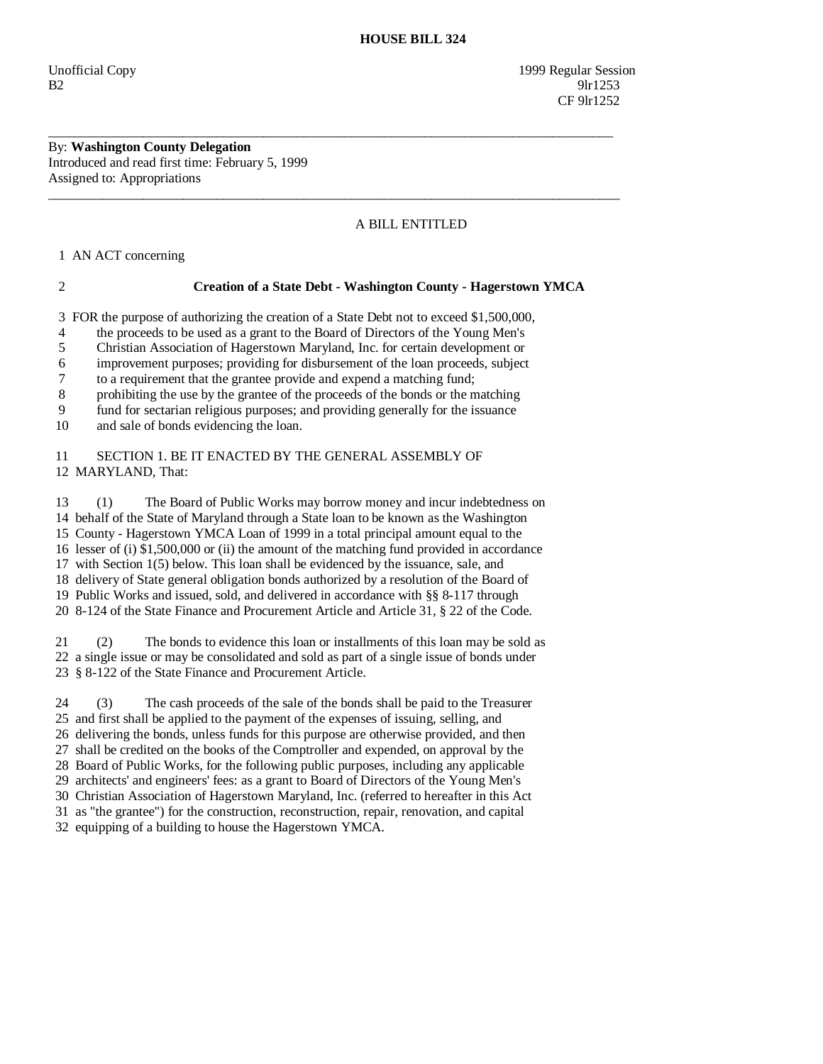Unofficial Copy 1999 Regular Session  $B2$  9lr1253 **CF** 9lr1252

By: **Washington County Delegation**  Introduced and read first time: February 5, 1999 Assigned to: Appropriations

## A BILL ENTITLED

1 AN ACT concerning

## 2 **Creation of a State Debt - Washington County - Hagerstown YMCA**

3 FOR the purpose of authorizing the creation of a State Debt not to exceed \$1,500,000,

\_\_\_\_\_\_\_\_\_\_\_\_\_\_\_\_\_\_\_\_\_\_\_\_\_\_\_\_\_\_\_\_\_\_\_\_\_\_\_\_\_\_\_\_\_\_\_\_\_\_\_\_\_\_\_\_\_\_\_\_\_\_\_\_\_\_\_\_\_\_\_\_\_\_\_\_\_\_\_\_\_\_\_\_

 $\overline{\phantom{a}}$  ,  $\overline{\phantom{a}}$  ,  $\overline{\phantom{a}}$  ,  $\overline{\phantom{a}}$  ,  $\overline{\phantom{a}}$  ,  $\overline{\phantom{a}}$  ,  $\overline{\phantom{a}}$  ,  $\overline{\phantom{a}}$  ,  $\overline{\phantom{a}}$  ,  $\overline{\phantom{a}}$  ,  $\overline{\phantom{a}}$  ,  $\overline{\phantom{a}}$  ,  $\overline{\phantom{a}}$  ,  $\overline{\phantom{a}}$  ,  $\overline{\phantom{a}}$  ,  $\overline{\phantom{a}}$ 

4 the proceeds to be used as a grant to the Board of Directors of the Young Men's

5 Christian Association of Hagerstown Maryland, Inc. for certain development or

6 improvement purposes; providing for disbursement of the loan proceeds, subject

7 to a requirement that the grantee provide and expend a matching fund;

8 prohibiting the use by the grantee of the proceeds of the bonds or the matching

9 fund for sectarian religious purposes; and providing generally for the issuance

10 and sale of bonds evidencing the loan.

 11 SECTION 1. BE IT ENACTED BY THE GENERAL ASSEMBLY OF 12 MARYLAND, That:

 13 (1) The Board of Public Works may borrow money and incur indebtedness on 14 behalf of the State of Maryland through a State loan to be known as the Washington 15 County - Hagerstown YMCA Loan of 1999 in a total principal amount equal to the 16 lesser of (i) \$1,500,000 or (ii) the amount of the matching fund provided in accordance 17 with Section 1(5) below. This loan shall be evidenced by the issuance, sale, and 18 delivery of State general obligation bonds authorized by a resolution of the Board of 19 Public Works and issued, sold, and delivered in accordance with §§ 8-117 through 20 8-124 of the State Finance and Procurement Article and Article 31, § 22 of the Code.

 21 (2) The bonds to evidence this loan or installments of this loan may be sold as 22 a single issue or may be consolidated and sold as part of a single issue of bonds under 23 § 8-122 of the State Finance and Procurement Article.

 24 (3) The cash proceeds of the sale of the bonds shall be paid to the Treasurer 25 and first shall be applied to the payment of the expenses of issuing, selling, and 26 delivering the bonds, unless funds for this purpose are otherwise provided, and then 27 shall be credited on the books of the Comptroller and expended, on approval by the 28 Board of Public Works, for the following public purposes, including any applicable 29 architects' and engineers' fees: as a grant to Board of Directors of the Young Men's 30 Christian Association of Hagerstown Maryland, Inc. (referred to hereafter in this Act 31 as "the grantee") for the construction, reconstruction, repair, renovation, and capital 32 equipping of a building to house the Hagerstown YMCA.